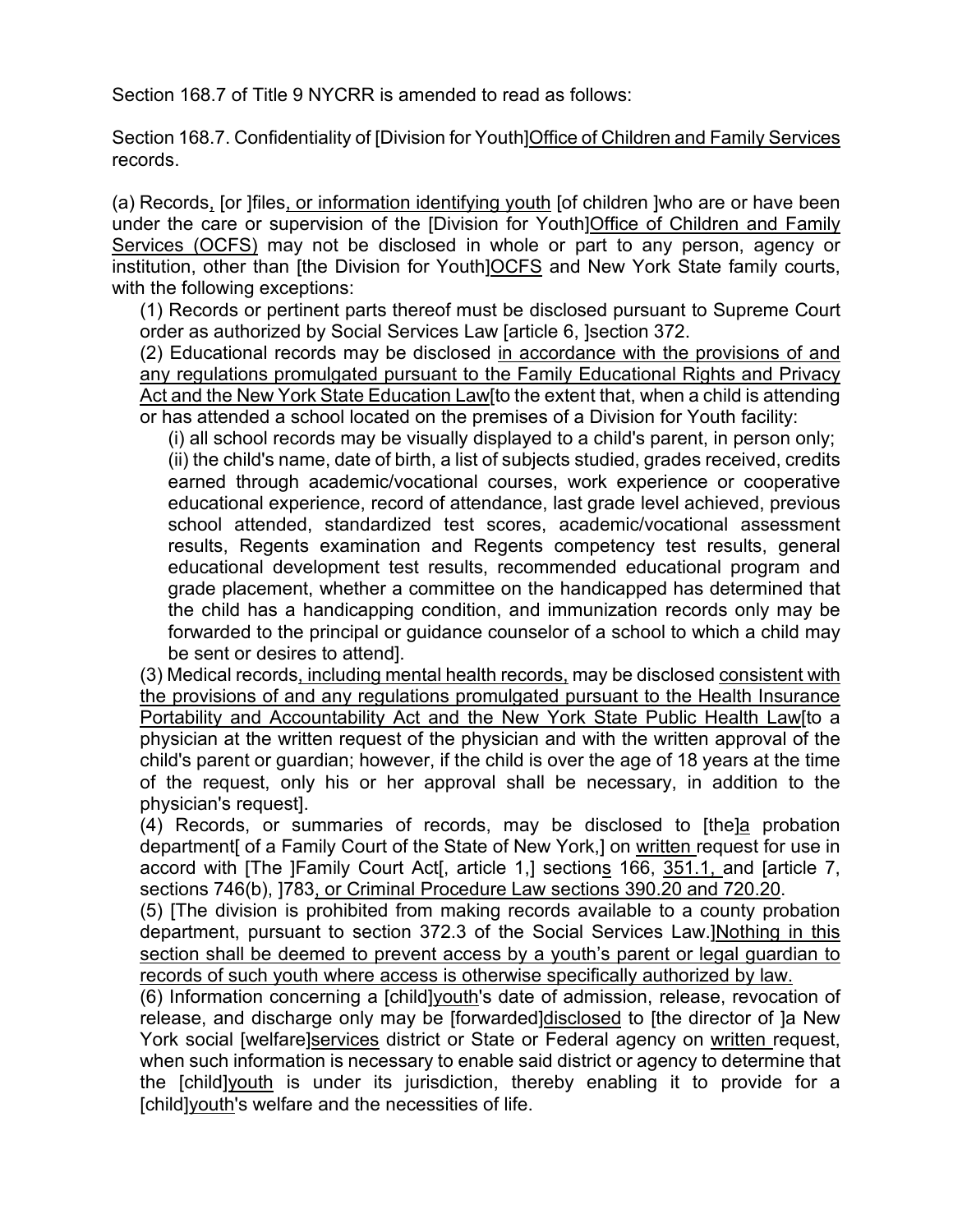Section 168.7 of Title 9 NYCRR is amended to read as follows:

Section 168.7. Confidentiality of [Division for Youth]Office of Children and Family Services records.

(a) Records, [or ]files, or information identifying youth [of children ]who are or have been under the care or supervision of the [Division for Youth]Office of Children and Family Services (OCFS) may not be disclosed in whole or part to any person, agency or institution, other than [the Division for Youth]OCFS and New York State family courts, with the following exceptions:

(1) Records or pertinent parts thereof must be disclosed pursuant to Supreme Court order as authorized by Social Services Law [article 6, ]section 372.

(2) Educational records may be disclosed in accordance with the provisions of and any regulations promulgated pursuant to the Family Educational Rights and Privacy Act and the New York State Education Law[to the extent that, when a child is attending or has attended a school located on the premises of a Division for Youth facility:

(i) all school records may be visually displayed to a child's parent, in person only; (ii) the child's name, date of birth, a list of subjects studied, grades received, credits earned through academic/vocational courses, work experience or cooperative educational experience, record of attendance, last grade level achieved, previous school attended, standardized test scores, academic/vocational assessment results, Regents examination and Regents competency test results, general educational development test results, recommended educational program and grade placement, whether a committee on the handicapped has determined that the child has a handicapping condition, and immunization records only may be forwarded to the principal or guidance counselor of a school to which a child may be sent or desires to attend].

(3) Medical records, including mental health records, may be disclosed consistent with the provisions of and any regulations promulgated pursuant to the Health Insurance Portability and Accountability Act and the New York State Public Health Law[to a physician at the written request of the physician and with the written approval of the child's parent or guardian; however, if the child is over the age of 18 years at the time of the request, only his or her approval shall be necessary, in addition to the physician's request].

(4) Records, or summaries of records, may be disclosed to [the]a probation department [ of a Family Court of the State of New York,] on written request for use in accord with [The ]Family Court Act[, article 1,] sections 166, 351.1, and [article 7, sections 746(b), ]783, or Criminal Procedure Law sections 390.20 and 720.20.

(5) [The division is prohibited from making records available to a county probation department, pursuant to section 372.3 of the Social Services Law.]Nothing in this section shall be deemed to prevent access by a youth's parent or legal guardian to records of such youth where access is otherwise specifically authorized by law.

(6) Information concerning a [child]youth's date of admission, release, revocation of release, and discharge only may be [forwarded]disclosed to [the director of ]a New York social [welfare]services district or State or Federal agency on written request, when such information is necessary to enable said district or agency to determine that the [child]youth is under its jurisdiction, thereby enabling it to provide for a [child]youth's welfare and the necessities of life.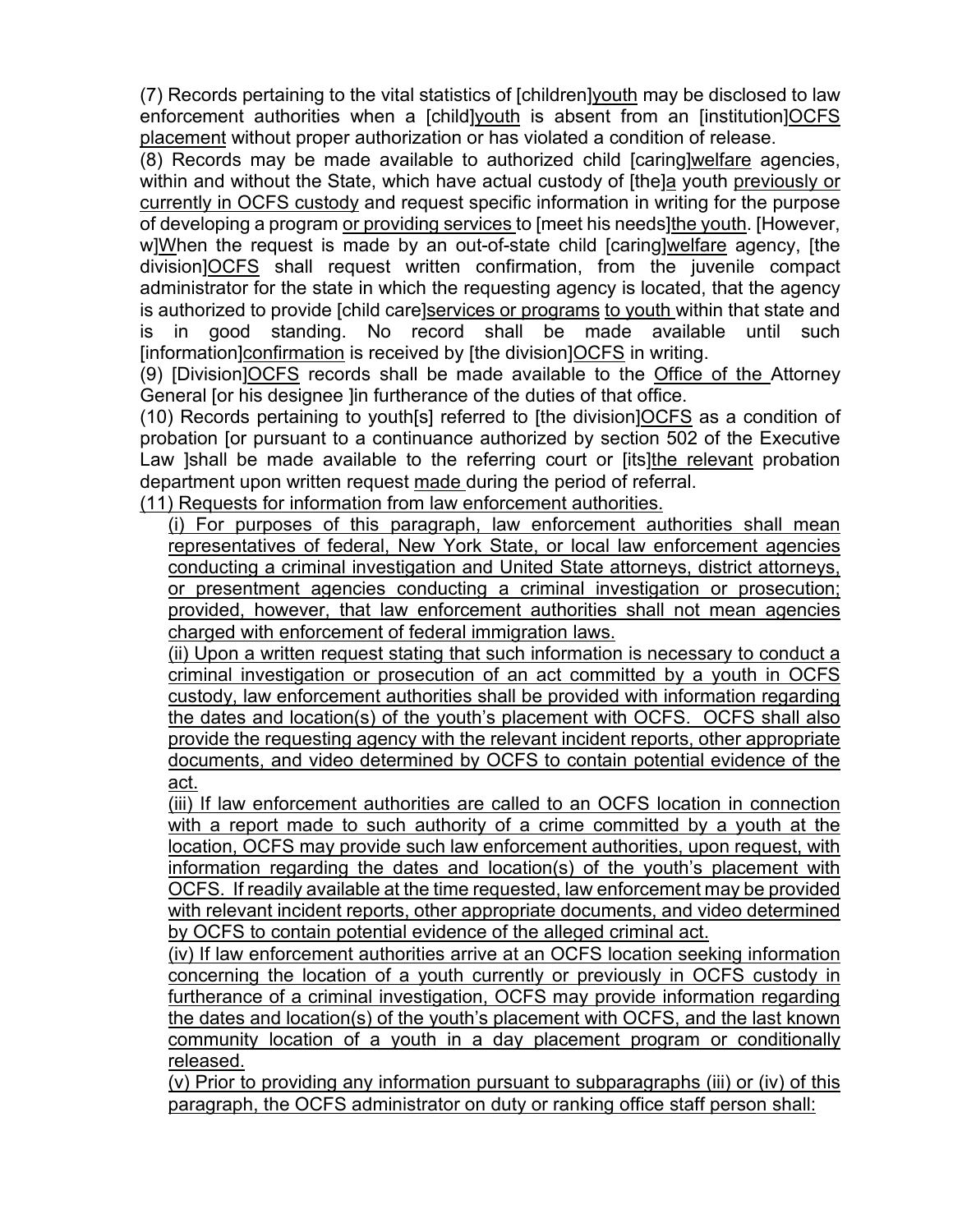(7) Records pertaining to the vital statistics of [children]youth may be disclosed to law enforcement authorities when a [child]youth is absent from an [institution]OCFS placement without proper authorization or has violated a condition of release.

(8) Records may be made available to authorized child [caring]welfare agencies, within and without the State, which have actual custody of [the]a youth previously or currently in OCFS custody and request specific information in writing for the purpose of developing a program or providing services to [meet his needs]the youth. [However, w]When the request is made by an out-of-state child [caring]welfare agency, [the division]OCFS shall request written confirmation, from the juvenile compact administrator for the state in which the requesting agency is located, that the agency is authorized to provide [child care]services or programs to youth within that state and is in good standing. No record shall be made available until such [information]confirmation is received by [the division]OCFS in writing.

(9) [Division]OCFS records shall be made available to the Office of the Attorney General [or his designee ]in furtherance of the duties of that office.

(10) Records pertaining to youth[s] referred to [the division]OCFS as a condition of probation [or pursuant to a continuance authorized by section 502 of the Executive Law ]shall be made available to the referring court or [its]the relevant probation department upon written request made during the period of referral.

(11) Requests for information from law enforcement authorities.

(i) For purposes of this paragraph, law enforcement authorities shall mean representatives of federal, New York State, or local law enforcement agencies conducting a criminal investigation and United State attorneys, district attorneys, or presentment agencies conducting a criminal investigation or prosecution; provided, however, that law enforcement authorities shall not mean agencies charged with enforcement of federal immigration laws.

(ii) Upon a written request stating that such information is necessary to conduct a criminal investigation or prosecution of an act committed by a youth in OCFS custody, law enforcement authorities shall be provided with information regarding the dates and location(s) of the youth's placement with OCFS. OCFS shall also provide the requesting agency with the relevant incident reports, other appropriate documents, and video determined by OCFS to contain potential evidence of the act.

(iii) If law enforcement authorities are called to an OCFS location in connection with a report made to such authority of a crime committed by a youth at the location, OCFS may provide such law enforcement authorities, upon request, with information regarding the dates and location(s) of the youth's placement with OCFS. If readily available at the time requested, law enforcement may be provided with relevant incident reports, other appropriate documents, and video determined by OCFS to contain potential evidence of the alleged criminal act.

(iv) If law enforcement authorities arrive at an OCFS location seeking information concerning the location of a youth currently or previously in OCFS custody in furtherance of a criminal investigation, OCFS may provide information regarding the dates and location(s) of the youth's placement with OCFS, and the last known community location of a youth in a day placement program or conditionally released.

(v) Prior to providing any information pursuant to subparagraphs (iii) or (iv) of this paragraph, the OCFS administrator on duty or ranking office staff person shall: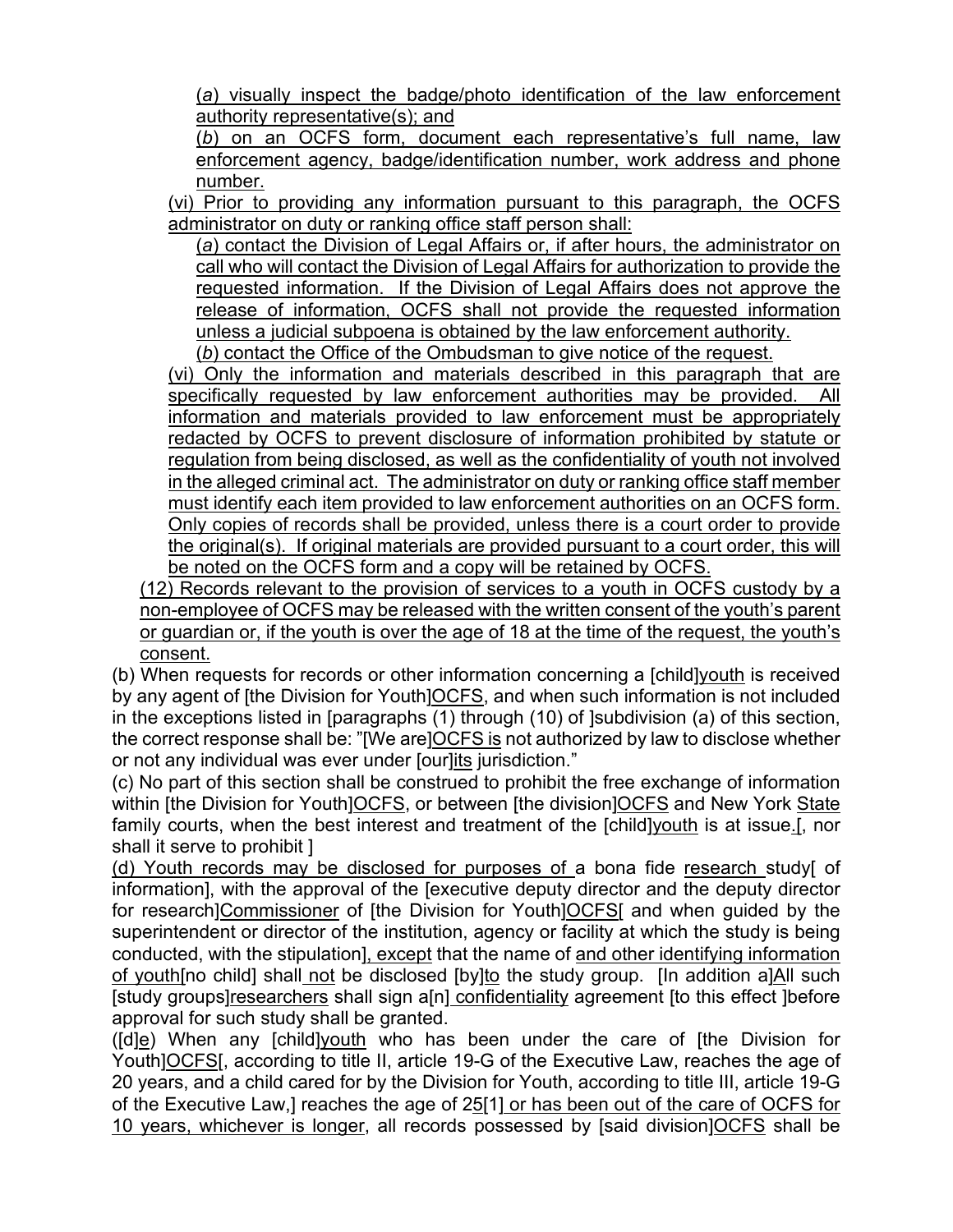(*a*) visually inspect the badge/photo identification of the law enforcement authority representative(s); and

(*b*) on an OCFS form, document each representative's full name, law enforcement agency, badge/identification number, work address and phone number.

(vi) Prior to providing any information pursuant to this paragraph, the OCFS administrator on duty or ranking office staff person shall:

(*a*) contact the Division of Legal Affairs or, if after hours, the administrator on call who will contact the Division of Legal Affairs for authorization to provide the requested information. If the Division of Legal Affairs does not approve the release of information, OCFS shall not provide the requested information unless a judicial subpoena is obtained by the law enforcement authority. (*b*) contact the Office of the Ombudsman to give notice of the request.

(vi) Only the information and materials described in this paragraph that are specifically requested by law enforcement authorities may be provided. All information and materials provided to law enforcement must be appropriately redacted by OCFS to prevent disclosure of information prohibited by statute or regulation from being disclosed, as well as the confidentiality of youth not involved in the alleged criminal act. The administrator on duty or ranking office staff member must identify each item provided to law enforcement authorities on an OCFS form. Only copies of records shall be provided, unless there is a court order to provide the original(s). If original materials are provided pursuant to a court order, this will be noted on the OCFS form and a copy will be retained by OCFS.

(12) Records relevant to the provision of services to a youth in OCFS custody by a non-employee of OCFS may be released with the written consent of the youth's parent or guardian or, if the youth is over the age of 18 at the time of the request, the youth's consent.

(b) When requests for records or other information concerning a [child]youth is received by any agent of [the Division for Youth]OCFS, and when such information is not included in the exceptions listed in [paragraphs (1) through (10) of ]subdivision (a) of this section, the correct response shall be: "[We are]OCFS is not authorized by law to disclose whether or not any individual was ever under [our]its jurisdiction."

(c) No part of this section shall be construed to prohibit the free exchange of information within [the Division for Youth]OCFS, or between [the division]OCFS and New York State family courts, when the best interest and treatment of the [child]youth is at issue.[, nor shall it serve to prohibit ]

(d) Youth records may be disclosed for purposes of a bona fide research study[ of information], with the approval of the [executive deputy director and the deputy director for research]Commissioner of [the Division for Youth]OCFS[ and when guided by the superintendent or director of the institution, agency or facility at which the study is being conducted, with the stipulation], except that the name of and other identifying information of youth[no child] shall not be disclosed [by]to the study group. [In addition a]All such [study groups]researchers shall sign a[n] confidentiality agreement [to this effect ]before approval for such study shall be granted.

([d]e) When any [child]youth who has been under the care of [the Division for Youth]OCFS[, according to title II, article 19-G of the Executive Law, reaches the age of 20 years, and a child cared for by the Division for Youth, according to title III, article 19-G of the Executive Law,] reaches the age of 25[1] or has been out of the care of OCFS for 10 years, whichever is longer, all records possessed by [said division]OCFS shall be